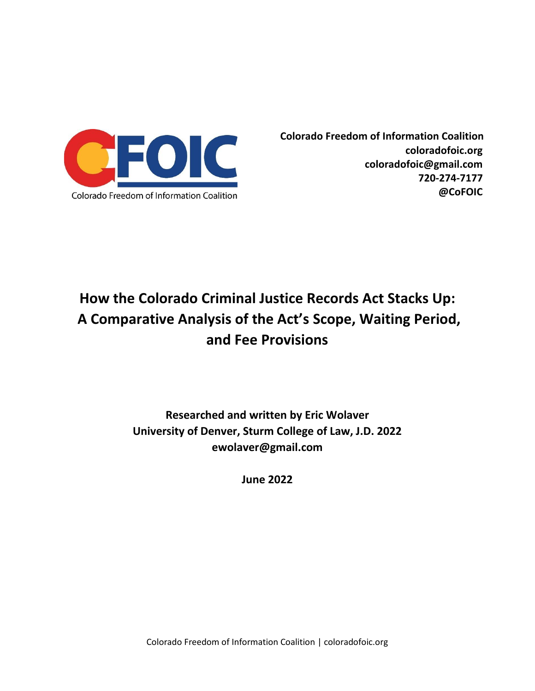

**Colorado Freedom of Information Coalition coloradofoic.org coloradofoic@gmail.com 720-274-7177 @CoFOIC**

# **How the Colorado Criminal Justice Records Act Stacks Up: A Comparative Analysis of the Act's Scope, Waiting Period, and Fee Provisions**

# **Researched and written by Eric Wolaver University of Denver, Sturm College of Law, J.D. 2022 ewolaver@gmail.com**

**June 2022**

Colorado Freedom of Information Coalition | coloradofoic.org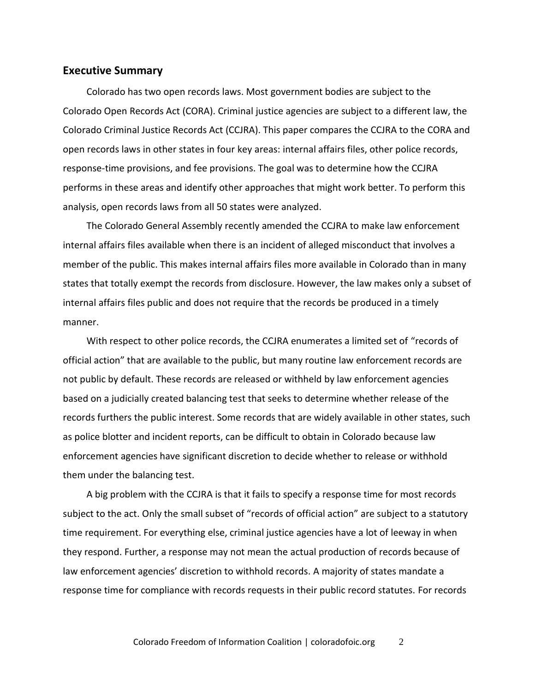#### **Executive Summary**

Colorado has two open records laws. Most government bodies are subject to the Colorado Open Records Act (CORA). Criminal justice agencies are subject to a different law, the Colorado Criminal Justice Records Act (CCJRA). This paper compares the CCJRA to the CORA and open records laws in other states in four key areas: internal affairs files, other police records, response-time provisions, and fee provisions. The goal was to determine how the CCJRA performs in these areas and identify other approaches that might work better. To perform this analysis, open records laws from all 50 states were analyzed.

The Colorado General Assembly recently amended the CCJRA to make law enforcement internal affairs files available when there is an incident of alleged misconduct that involves a member of the public. This makes internal affairs files more available in Colorado than in many states that totally exempt the records from disclosure. However, the law makes only a subset of internal affairs files public and does not require that the records be produced in a timely manner.

With respect to other police records, the CCJRA enumerates a limited set of "records of official action" that are available to the public, but many routine law enforcement records are not public by default. These records are released or withheld by law enforcement agencies based on a judicially created balancing test that seeks to determine whether release of the records furthers the public interest. Some records that are widely available in other states, such as police blotter and incident reports, can be difficult to obtain in Colorado because law enforcement agencies have significant discretion to decide whether to release or withhold them under the balancing test.

A big problem with the CCJRA is that it fails to specify a response time for most records subject to the act. Only the small subset of "records of official action" are subject to a statutory time requirement. For everything else, criminal justice agencies have a lot of leeway in when they respond. Further, a response may not mean the actual production of records because of law enforcement agencies' discretion to withhold records. A majority of states mandate a response time for compliance with records requests in their public record statutes. For records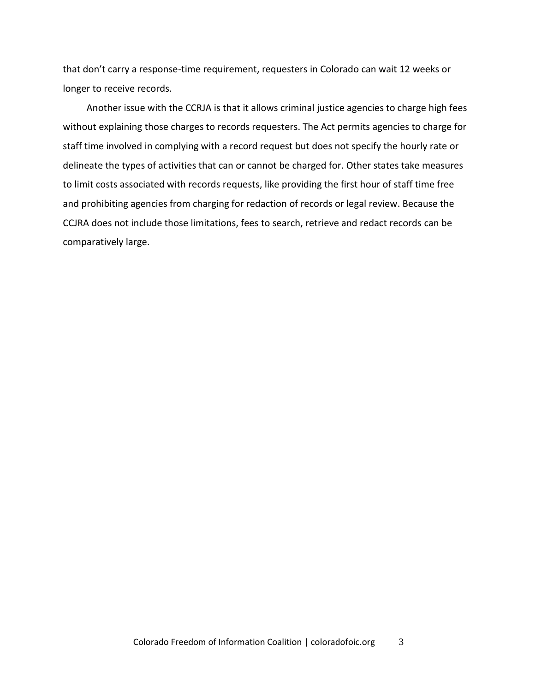that don't carry a response-time requirement, requesters in Colorado can wait 12 weeks or longer to receive records.

Another issue with the CCRJA is that it allows criminal justice agencies to charge high fees without explaining those charges to records requesters. The Act permits agencies to charge for staff time involved in complying with a record request but does not specify the hourly rate or delineate the types of activities that can or cannot be charged for. Other states take measures to limit costs associated with records requests, like providing the first hour of staff time free and prohibiting agencies from charging for redaction of records or legal review. Because the CCJRA does not include those limitations, fees to search, retrieve and redact records can be comparatively large.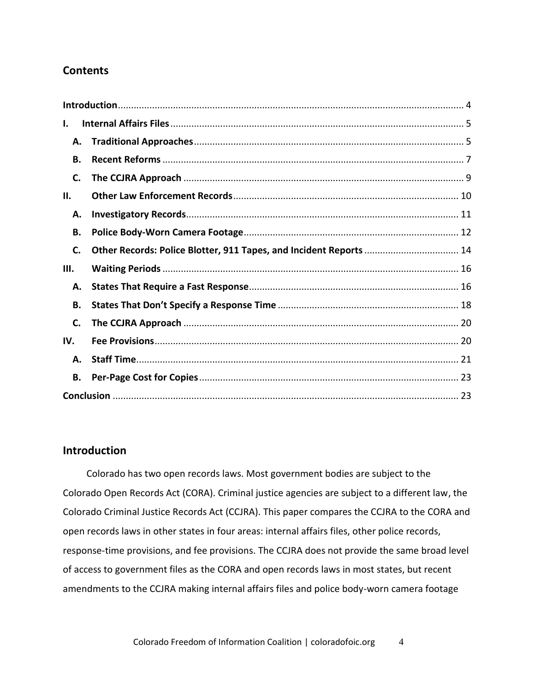# **Contents**

| ı.        |                                                                    |  |  |
|-----------|--------------------------------------------------------------------|--|--|
| А.        |                                                                    |  |  |
| <b>B.</b> |                                                                    |  |  |
| C.        |                                                                    |  |  |
| П.        |                                                                    |  |  |
| А.        |                                                                    |  |  |
| В.        |                                                                    |  |  |
| C.        | Other Records: Police Blotter, 911 Tapes, and Incident Reports  14 |  |  |
| Ш.        |                                                                    |  |  |
| А.        |                                                                    |  |  |
| В.        |                                                                    |  |  |
| C.        |                                                                    |  |  |
| IV.       |                                                                    |  |  |
| А.        |                                                                    |  |  |
| В.        |                                                                    |  |  |
|           |                                                                    |  |  |

#### <span id="page-3-0"></span>**Introduction**

Colorado has two open records laws. Most government bodies are subject to the Colorado Open Records Act (CORA). Criminal justice agencies are subject to a different law, the Colorado Criminal Justice Records Act (CCJRA). This paper compares the CCJRA to the CORA and open records laws in other states in four areas: internal affairs files, other police records, response-time provisions, and fee provisions. The CCJRA does not provide the same broad level of access to government files as the CORA and open records laws in most states, but recent amendments to the CCJRA making internal affairs files and police body-worn camera footage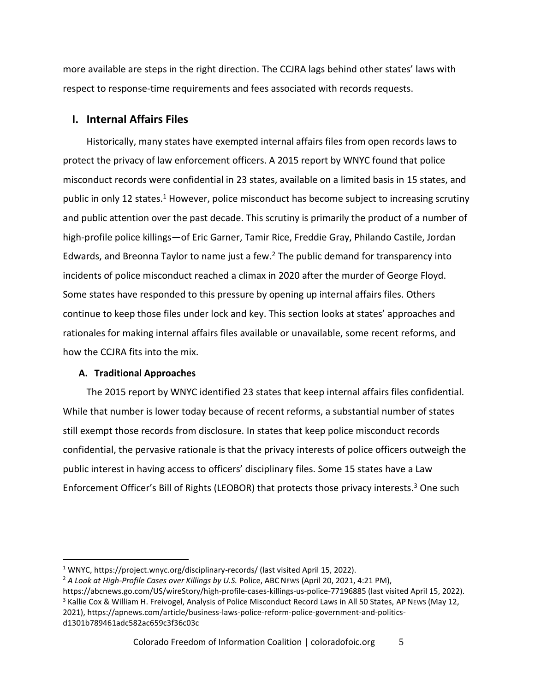more available are steps in the right direction. The CCJRA lags behind other states' laws with respect to response-time requirements and fees associated with records requests.

## <span id="page-4-0"></span>**I. Internal Affairs Files**

Historically, many states have exempted internal affairs files from open records laws to protect the privacy of law enforcement officers. A 2015 report by WNYC found that police misconduct records were confidential in 23 states, available on a limited basis in 15 states, and public in only 12 states.<sup>1</sup> However, police misconduct has become subject to increasing scrutiny and public attention over the past decade. This scrutiny is primarily the product of a number of high-profile police killings—of Eric Garner, Tamir Rice, Freddie Gray, Philando Castile, Jordan Edwards, and Breonna Taylor to name just a few. $<sup>2</sup>$  The public demand for transparency into</sup> incidents of police misconduct reached a climax in 2020 after the murder of George Floyd. Some states have responded to this pressure by opening up internal affairs files. Others continue to keep those files under lock and key. This section looks at states' approaches and rationales for making internal affairs files available or unavailable, some recent reforms, and how the CCJRA fits into the mix.

#### <span id="page-4-1"></span>**A. Traditional Approaches**

The 2015 report by WNYC identified 23 states that keep internal affairs files confidential. While that number is lower today because of recent reforms, a substantial number of states still exempt those records from disclosure. In states that keep police misconduct records confidential, the pervasive rationale is that the privacy interests of police officers outweigh the public interest in having access to officers' disciplinary files. Some 15 states have a Law Enforcement Officer's Bill of Rights (LEOBOR) that protects those privacy interests.<sup>3</sup> One such

<sup>&</sup>lt;sup>1</sup> WNYC, https://project.wnyc.org/disciplinary-records/ (last visited April 15, 2022).

<sup>&</sup>lt;sup>2</sup> A Look at High-Profile Cases over Killings by U.S. Police, ABC News (April 20, 2021, 4:21 PM),

https://abcnews.go.com/US/wireStory/high-profile-cases-killings-us-police-77196885 (last visited April 15, 2022). <sup>3</sup> Kallie Cox & William H. Freivogel, Analysis of Police Misconduct Record Laws in All 50 States, AP News (May 12, 2021), https://apnews.com/article/business-laws-police-reform-police-government-and-politicsd1301b789461adc582ac659c3f36c03c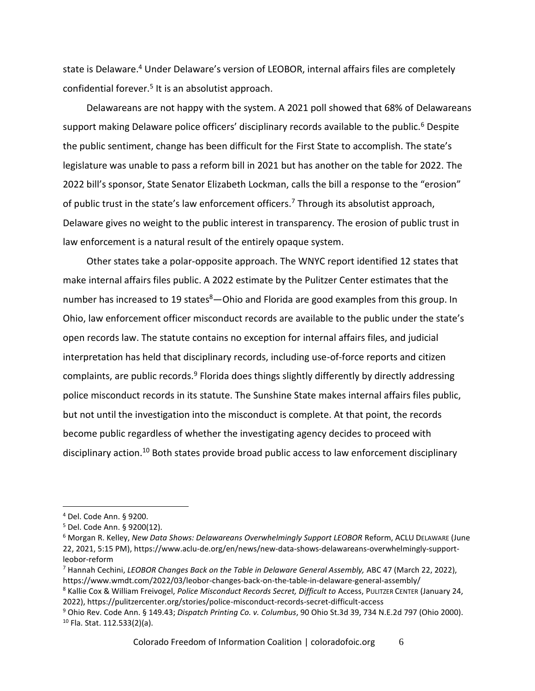state is Delaware. <sup>4</sup> Under Delaware's version of LEOBOR, internal affairs files are completely confidential forever.<sup>5</sup> It is an absolutist approach.

Delawareans are not happy with the system. A 2021 poll showed that 68% of Delawareans support making Delaware police officers' disciplinary records available to the public.<sup>6</sup> Despite the public sentiment, change has been difficult for the First State to accomplish. The state's legislature was unable to pass a reform bill in 2021 but has another on the table for 2022. The 2022 bill's sponsor, State Senator Elizabeth Lockman, calls the bill a response to the "erosion" of public trust in the state's law enforcement officers.<sup>7</sup> Through its absolutist approach, Delaware gives no weight to the public interest in transparency. The erosion of public trust in law enforcement is a natural result of the entirely opaque system.

Other states take a polar-opposite approach. The WNYC report identified 12 states that make internal affairs files public. A 2022 estimate by the Pulitzer Center estimates that the number has increased to 19 states<sup>8</sup>—Ohio and Florida are good examples from this group. In Ohio, law enforcement officer misconduct records are available to the public under the state's open records law. The statute contains no exception for internal affairs files, and judicial interpretation has held that disciplinary records, including use-of-force reports and citizen complaints, are public records.<sup>9</sup> Florida does things slightly differently by directly addressing police misconduct records in its statute. The Sunshine State makes internal affairs files public, but not until the investigation into the misconduct is complete. At that point, the records become public regardless of whether the investigating agency decides to proceed with disciplinary action.<sup>10</sup> Both states provide broad public access to law enforcement disciplinary

<sup>4</sup> Del. Code Ann. § 9200.

<sup>5</sup> Del. Code Ann. § 9200(12).

<sup>6</sup> Morgan R. Kelley, *New Data Shows: Delawareans Overwhelmingly Support LEOBOR* Reform, ACLU DELAWARE (June 22, 2021, 5:15 PM), https://www.aclu-de.org/en/news/new-data-shows-delawareans-overwhelmingly-supportleobor-reform

<sup>7</sup> Hannah Cechini, *LEOBOR Changes Back on the Table in Delaware General Assembly,* ABC 47 (March 22, 2022), https://www.wmdt.com/2022/03/leobor-changes-back-on-the-table-in-delaware-general-assembly/

<sup>8</sup> Kallie Cox & William Freivogel, *Police Misconduct Records Secret, Difficult to* Access, PULITZER CENTER (January 24, 2022), https://pulitzercenter.org/stories/police-misconduct-records-secret-difficult-access

<sup>9</sup> Ohio Rev. Code Ann. § 149.43; *Dispatch Printing Co. v. Columbus*, 90 Ohio St.3d 39, 734 N.E.2d 797 (Ohio 2000). <sup>10</sup> Fla. Stat. 112.533(2)(a).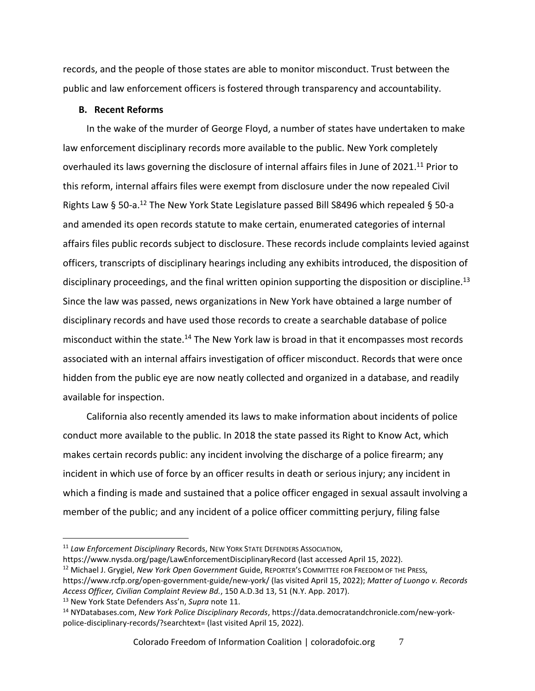records, and the people of those states are able to monitor misconduct. Trust between the public and law enforcement officers is fostered through transparency and accountability.

#### <span id="page-6-0"></span>**B. Recent Reforms**

In the wake of the murder of George Floyd, a number of states have undertaken to make law enforcement disciplinary records more available to the public. New York completely overhauled its laws governing the disclosure of internal affairs files in June of 2021.<sup>11</sup> Prior to this reform, internal affairs files were exempt from disclosure under the now repealed Civil Rights Law § 50-a.<sup>12</sup> The New York State Legislature passed Bill S8496 which repealed § 50-a and amended its open records statute to make certain, enumerated categories of internal affairs files public records subject to disclosure. These records include complaints levied against officers, transcripts of disciplinary hearings including any exhibits introduced, the disposition of disciplinary proceedings, and the final written opinion supporting the disposition or discipline.<sup>13</sup> Since the law was passed, news organizations in New York have obtained a large number of disciplinary records and have used those records to create a searchable database of police misconduct within the state.<sup>14</sup> The New York law is broad in that it encompasses most records associated with an internal affairs investigation of officer misconduct. Records that were once hidden from the public eye are now neatly collected and organized in a database, and readily available for inspection.

California also recently amended its laws to make information about incidents of police conduct more available to the public. In 2018 the state passed its Right to Know Act, which makes certain records public: any incident involving the discharge of a police firearm; any incident in which use of force by an officer results in death or serious injury; any incident in which a finding is made and sustained that a police officer engaged in sexual assault involving a member of the public; and any incident of a police officer committing perjury, filing false

https://www.nysda.org/page/LawEnforcementDisciplinaryRecord (last accessed April 15, 2022).

<sup>12</sup> Michael J. Grygiel, *New York Open Government* Guide, REPORTER'S COMMITTEE FOR FREEDOM OF THE PRESS,

<sup>13</sup> New York State Defenders Ass'n, *Supra* note 11.

<sup>11</sup> *Law Enforcement Disciplinary* Records, NEW YORK STATE DEFENDERS ASSOCIATION,

https://www.rcfp.org/open-government-guide/new-york/ (las visited April 15, 2022); *Matter of Luongo v. Records Access Officer, Civilian Complaint Review Bd.*, 150 A.D.3d 13, 51 (N.Y. App. 2017).

<sup>14</sup> NYDatabases.com, *New York Police Disciplinary Records*, https://data.democratandchronicle.com/new-yorkpolice-disciplinary-records/?searchtext= (last visited April 15, 2022).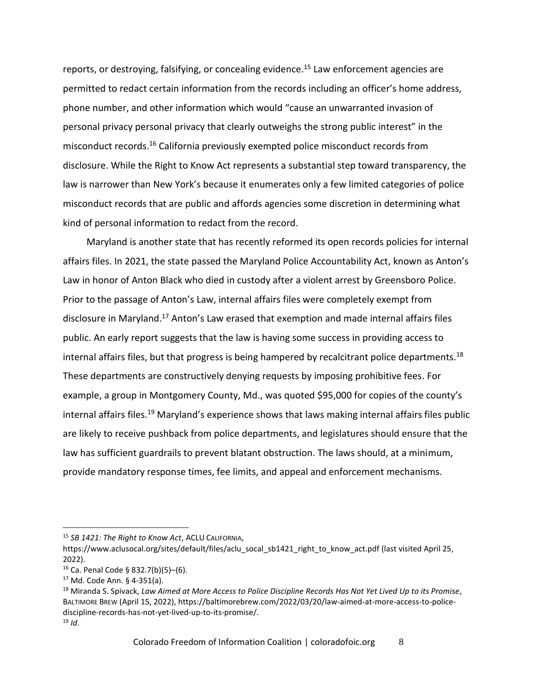reports, or destroying, falsifying, or concealing evidence.<sup>15</sup> Law enforcement agencies are permitted to redact certain information from the records including an officer's home address, phone number, and other information which would "cause an unwarranted invasion of personal privacy personal privacy that clearly outweighs the strong public interest" in the misconduct records.<sup>16</sup> California previously exempted police misconduct records from disclosure. While the Right to Know Act represents a substantial step toward transparency, the law is narrower than New York's because it enumerates only a few limited categories of police misconduct records that are public and affords agencies some discretion in determining what kind of personal information to redact from the record.

Maryland is another state that has recently reformed its open records policies for internal affairs files. In 2021, the state passed the Maryland Police Accountability Act, known as Anton's Law in honor of Anton Black who died in custody after a violent arrest by Greensboro Police. Prior to the passage of Anton's Law, internal affairs files were completely exempt from disclosure in Maryland.<sup>17</sup> Anton's Law erased that exemption and made internal affairs files public. An early report suggests that the law is having some success in providing access to internal affairs files, but that progress is being hampered by recalcitrant police departments.<sup>18</sup> These departments are constructively denying requests by imposing prohibitive fees. For example, a group in Montgomery County, Md., was quoted \$95,000 for copies of the county's internal affairs files.<sup>19</sup> Maryland's experience shows that laws making internal affairs files public are likely to receive pushback from police departments, and legislatures should ensure that the law has sufficient guardrails to prevent blatant obstruction. The laws should, at a minimum, provide mandatory response times, fee limits, and appeal and enforcement mechanisms.

<sup>15</sup> *SB 1421: The Right to Know Act*, ACLU CALIFORNIA,

https://www.aclusocal.org/sites/default/files/aclu\_socal\_sb1421\_right\_to\_know\_act.pdf (last visited April 25, 2022).

<sup>16</sup> Ca. Penal Code § 832.7(b)(5)–(6).

<sup>17</sup> Md. Code Ann. § 4-351(a).

<sup>18</sup> Miranda S. Spivack, *Law Aimed at More Access to Police Discipline Records Has Not Yet Lived Up to its Promise*, BALTIMORE BREW (April 15, 2022), https://baltimorebrew.com/2022/03/20/law-aimed-at-more-access-to-policediscipline-records-has-not-yet-lived-up-to-its-promise/. <sup>19</sup> *Id*.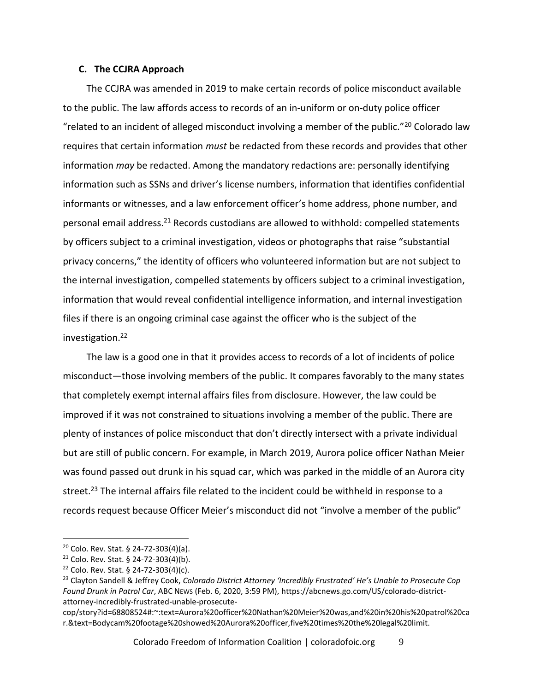#### <span id="page-8-0"></span>**C. The CCJRA Approach**

The CCJRA was amended in 2019 to make certain records of police misconduct available to the public. The law affords access to records of an in-uniform or on-duty police officer "related to an incident of alleged misconduct involving a member of the public."<sup>20</sup> Colorado law requires that certain information *must* be redacted from these records and provides that other information *may* be redacted. Among the mandatory redactions are: personally identifying information such as SSNs and driver's license numbers, information that identifies confidential informants or witnesses, and a law enforcement officer's home address, phone number, and personal email address.<sup>21</sup> Records custodians are allowed to withhold: compelled statements by officers subject to a criminal investigation, videos or photographs that raise "substantial privacy concerns," the identity of officers who volunteered information but are not subject to the internal investigation, compelled statements by officers subject to a criminal investigation, information that would reveal confidential intelligence information, and internal investigation files if there is an ongoing criminal case against the officer who is the subject of the investigation.<sup>22</sup>

The law is a good one in that it provides access to records of a lot of incidents of police misconduct—those involving members of the public. It compares favorably to the many states that completely exempt internal affairs files from disclosure. However, the law could be improved if it was not constrained to situations involving a member of the public. There are plenty of instances of police misconduct that don't directly intersect with a private individual but are still of public concern. For example, in March 2019, Aurora police officer Nathan Meier was found passed out drunk in his squad car, which was parked in the middle of an Aurora city street.<sup>23</sup> The internal affairs file related to the incident could be withheld in response to a records request because Officer Meier's misconduct did not "involve a member of the public"

 $20$  Colo. Rev. Stat. § 24-72-303(4)(a).

<sup>21</sup> Colo. Rev. Stat. § 24-72-303(4)(b).

<sup>&</sup>lt;sup>22</sup> Colo. Rev. Stat. § 24-72-303(4)(c).

<sup>23</sup> Clayton Sandell & Jeffrey Cook, *Colorado District Attorney 'Incredibly Frustrated' He's Unable to Prosecute Cop Found Drunk in Patrol Car*, ABC NEWS (Feb. 6, 2020, 3:59 PM), https://abcnews.go.com/US/colorado-districtattorney-incredibly-frustrated-unable-prosecute-

cop/story?id=68808524#:~:text=Aurora%20officer%20Nathan%20Meier%20was,and%20in%20his%20patrol%20ca r.&text=Bodycam%20footage%20showed%20Aurora%20officer,five%20times%20the%20legal%20limit.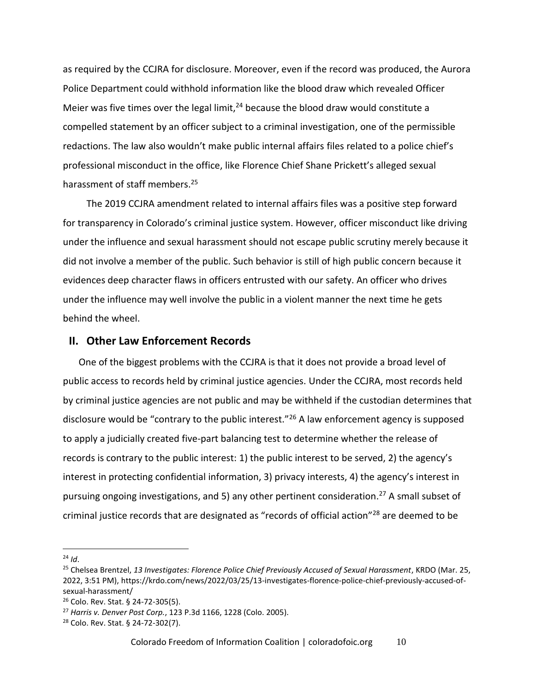as required by the CCJRA for disclosure. Moreover, even if the record was produced, the Aurora Police Department could withhold information like the blood draw which revealed Officer Meier was five times over the legal limit,  $24$  because the blood draw would constitute a compelled statement by an officer subject to a criminal investigation, one of the permissible redactions. The law also wouldn't make public internal affairs files related to a police chief's professional misconduct in the office, like Florence Chief Shane Prickett's alleged sexual harassment of staff members.<sup>25</sup>

The 2019 CCJRA amendment related to internal affairs files was a positive step forward for transparency in Colorado's criminal justice system. However, officer misconduct like driving under the influence and sexual harassment should not escape public scrutiny merely because it did not involve a member of the public. Such behavior is still of high public concern because it evidences deep character flaws in officers entrusted with our safety. An officer who drives under the influence may well involve the public in a violent manner the next time he gets behind the wheel.

#### <span id="page-9-0"></span>**II. Other Law Enforcement Records**

One of the biggest problems with the CCJRA is that it does not provide a broad level of public access to records held by criminal justice agencies. Under the CCJRA, most records held by criminal justice agencies are not public and may be withheld if the custodian determines that disclosure would be "contrary to the public interest."<sup>26</sup> A law enforcement agency is supposed to apply a judicially created five-part balancing test to determine whether the release of records is contrary to the public interest: 1) the public interest to be served, 2) the agency's interest in protecting confidential information, 3) privacy interests, 4) the agency's interest in pursuing ongoing investigations, and 5) any other pertinent consideration.<sup>27</sup> A small subset of criminal justice records that are designated as "records of official action"<sup>28</sup> are deemed to be

 $24$  *Id.* 

<sup>25</sup> Chelsea Brentzel, *13 Investigates: Florence Police Chief Previously Accused of Sexual Harassment*, KRDO (Mar. 25, 2022, 3:51 PM), https://krdo.com/news/2022/03/25/13-investigates-florence-police-chief-previously-accused-ofsexual-harassment/

<sup>26</sup> Colo. Rev. Stat. § 24-72-305(5).

<sup>27</sup> *Harris v. Denver Post Corp.*, 123 P.3d 1166, 1228 (Colo. 2005).

<sup>28</sup> Colo. Rev. Stat. § 24-72-302(7).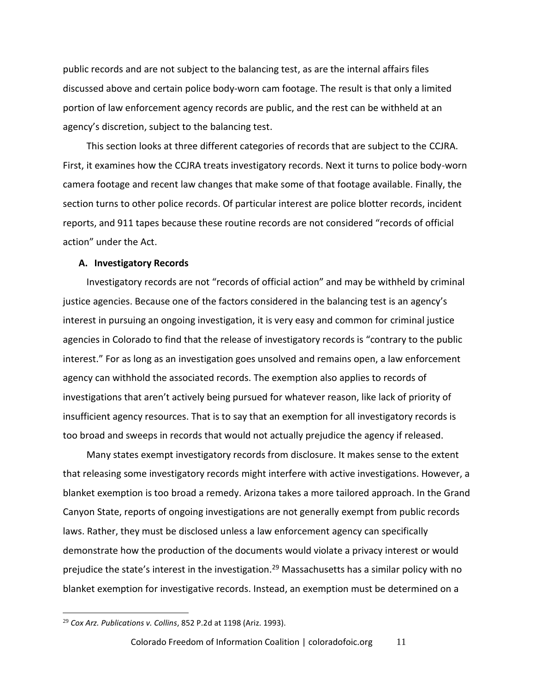public records and are not subject to the balancing test, as are the internal affairs files discussed above and certain police body-worn cam footage. The result is that only a limited portion of law enforcement agency records are public, and the rest can be withheld at an agency's discretion, subject to the balancing test.

This section looks at three different categories of records that are subject to the CCJRA. First, it examines how the CCJRA treats investigatory records. Next it turns to police body-worn camera footage and recent law changes that make some of that footage available. Finally, the section turns to other police records. Of particular interest are police blotter records, incident reports, and 911 tapes because these routine records are not considered "records of official action" under the Act.

#### <span id="page-10-0"></span>**A. Investigatory Records**

Investigatory records are not "records of official action" and may be withheld by criminal justice agencies. Because one of the factors considered in the balancing test is an agency's interest in pursuing an ongoing investigation, it is very easy and common for criminal justice agencies in Colorado to find that the release of investigatory records is "contrary to the public interest." For as long as an investigation goes unsolved and remains open, a law enforcement agency can withhold the associated records. The exemption also applies to records of investigations that aren't actively being pursued for whatever reason, like lack of priority of insufficient agency resources. That is to say that an exemption for all investigatory records is too broad and sweeps in records that would not actually prejudice the agency if released.

Many states exempt investigatory records from disclosure. It makes sense to the extent that releasing some investigatory records might interfere with active investigations. However, a blanket exemption is too broad a remedy. Arizona takes a more tailored approach. In the Grand Canyon State, reports of ongoing investigations are not generally exempt from public records laws. Rather, they must be disclosed unless a law enforcement agency can specifically demonstrate how the production of the documents would violate a privacy interest or would prejudice the state's interest in the investigation.<sup>29</sup> Massachusetts has a similar policy with no blanket exemption for investigative records. Instead, an exemption must be determined on a

<sup>29</sup> *Cox Arz. Publications v. Collins*, 852 P.2d at 1198 (Ariz. 1993).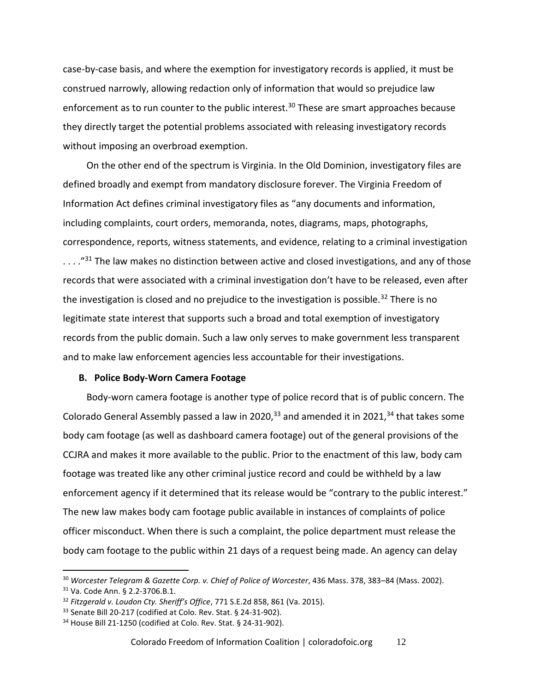case-by-case basis, and where the exemption for investigatory records is applied, it must be construed narrowly, allowing redaction only of information that would so prejudice law enforcement as to run counter to the public interest.<sup>30</sup> These are smart approaches because they directly target the potential problems associated with releasing investigatory records without imposing an overbroad exemption.

On the other end of the spectrum is Virginia. In the Old Dominion, investigatory files are defined broadly and exempt from mandatory disclosure forever. The Virginia Freedom of Information Act defines criminal investigatory files as "any documents and information, including complaints, court orders, memoranda, notes, diagrams, maps, photographs, correspondence, reports, witness statements, and evidence, relating to a criminal investigation  $\ldots$ ."<sup>31</sup> The law makes no distinction between active and closed investigations, and any of those records that were associated with a criminal investigation don't have to be released, even after the investigation is closed and no prejudice to the investigation is possible.<sup>32</sup> There is no legitimate state interest that supports such a broad and total exemption of investigatory records from the public domain. Such a law only serves to make government less transparent and to make law enforcement agencies less accountable for their investigations.

#### <span id="page-11-0"></span>**B. Police Body-Worn Camera Footage**

Body-worn camera footage is another type of police record that is of public concern. The Colorado General Assembly passed a law in 2020, $^{33}$  and amended it in 2021, $^{34}$  that takes some body cam footage (as well as dashboard camera footage) out of the general provisions of the CCJRA and makes it more available to the public. Prior to the enactment of this law, body cam footage was treated like any other criminal justice record and could be withheld by a law enforcement agency if it determined that its release would be "contrary to the public interest." The new law makes body cam footage public available in instances of complaints of police officer misconduct. When there is such a complaint, the police department must release the body cam footage to the public within 21 days of a request being made. An agency can delay

<sup>30</sup> *Worcester Telegram & Gazette Corp. v. Chief of Police of Worcester*, 436 Mass. 378, 383–84 (Mass. 2002).

<sup>31</sup> Va. Code Ann. § 2.2-3706.B.1.

<sup>32</sup> *Fitzgerald v. Loudon Cty. Sheriff's Office*, 771 S.E.2d 858, 861 (Va. 2015).

<sup>33</sup> Senate Bill 20-217 (codified at Colo. Rev. Stat. § 24-31-902).

<sup>34</sup> House Bill 21-1250 (codified at Colo. Rev. Stat. § 24-31-902).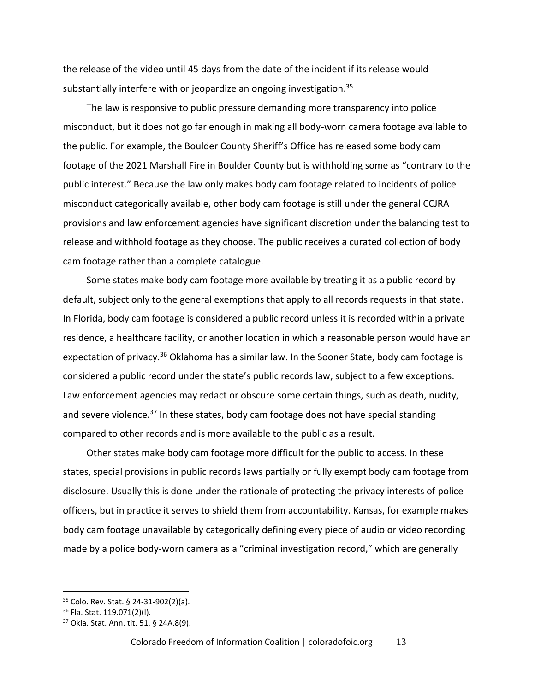the release of the video until 45 days from the date of the incident if its release would substantially interfere with or jeopardize an ongoing investigation.<sup>35</sup>

The law is responsive to public pressure demanding more transparency into police misconduct, but it does not go far enough in making all body-worn camera footage available to the public. For example, the Boulder County Sheriff's Office has released some body cam footage of the 2021 Marshall Fire in Boulder County but is withholding some as "contrary to the public interest." Because the law only makes body cam footage related to incidents of police misconduct categorically available, other body cam footage is still under the general CCJRA provisions and law enforcement agencies have significant discretion under the balancing test to release and withhold footage as they choose. The public receives a curated collection of body cam footage rather than a complete catalogue.

Some states make body cam footage more available by treating it as a public record by default, subject only to the general exemptions that apply to all records requests in that state. In Florida, body cam footage is considered a public record unless it is recorded within a private residence, a healthcare facility, or another location in which a reasonable person would have an expectation of privacy.<sup>36</sup> Oklahoma has a similar law. In the Sooner State, body cam footage is considered a public record under the state's public records law, subject to a few exceptions. Law enforcement agencies may redact or obscure some certain things, such as death, nudity, and severe violence.<sup>37</sup> In these states, body cam footage does not have special standing compared to other records and is more available to the public as a result.

Other states make body cam footage more difficult for the public to access. In these states, special provisions in public records laws partially or fully exempt body cam footage from disclosure. Usually this is done under the rationale of protecting the privacy interests of police officers, but in practice it serves to shield them from accountability. Kansas, for example makes body cam footage unavailable by categorically defining every piece of audio or video recording made by a police body-worn camera as a "criminal investigation record," which are generally

<sup>35</sup> Colo. Rev. Stat. § 24-31-902(2)(a).

<sup>36</sup> Fla. Stat. 119.071(2)(l).

<sup>37</sup> Okla. Stat. Ann. tit. 51, § 24A.8(9).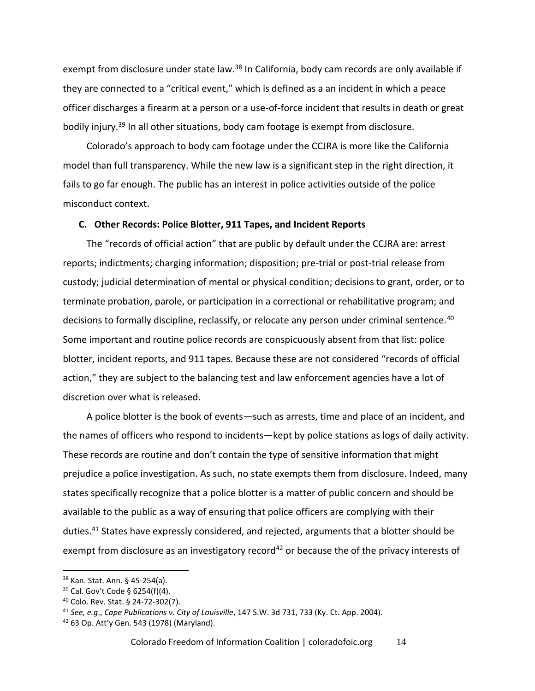exempt from disclosure under state law.<sup>38</sup> In California, body cam records are only available if they are connected to a "critical event," which is defined as a an incident in which a peace officer discharges a firearm at a person or a use-of-force incident that results in death or great bodily injury.<sup>39</sup> In all other situations, body cam footage is exempt from disclosure.

Colorado's approach to body cam footage under the CCJRA is more like the California model than full transparency. While the new law is a significant step in the right direction, it fails to go far enough. The public has an interest in police activities outside of the police misconduct context.

#### <span id="page-13-0"></span>**C. Other Records: Police Blotter, 911 Tapes, and Incident Reports**

The "records of official action" that are public by default under the CCJRA are: arrest reports; indictments; charging information; disposition; pre-trial or post-trial release from custody; judicial determination of mental or physical condition; decisions to grant, order, or to terminate probation, parole, or participation in a correctional or rehabilitative program; and decisions to formally discipline, reclassify, or relocate any person under criminal sentence.<sup>40</sup> Some important and routine police records are conspicuously absent from that list: police blotter, incident reports, and 911 tapes. Because these are not considered "records of official action," they are subject to the balancing test and law enforcement agencies have a lot of discretion over what is released.

A police blotter is the book of events—such as arrests, time and place of an incident, and the names of officers who respond to incidents—kept by police stations as logs of daily activity. These records are routine and don't contain the type of sensitive information that might prejudice a police investigation. As such, no state exempts them from disclosure. Indeed, many states specifically recognize that a police blotter is a matter of public concern and should be available to the public as a way of ensuring that police officers are complying with their duties.<sup>41</sup> States have expressly considered, and rejected, arguments that a blotter should be exempt from disclosure as an investigatory record<sup>42</sup> or because the of the privacy interests of

<sup>38</sup> Kan. Stat. Ann. § 45-254(a).

 $39$  Cal. Gov't Code § 6254(f)(4).

<sup>40</sup> Colo. Rev. Stat. § 24-72-302(7).

<sup>41</sup> *See, e.g*., *Cape Publications v. City of Louisville*, 147 S.W. 3d 731, 733 (Ky. Ct. App. 2004).

 $42$  63 Op. Att'y Gen. 543 (1978) (Maryland).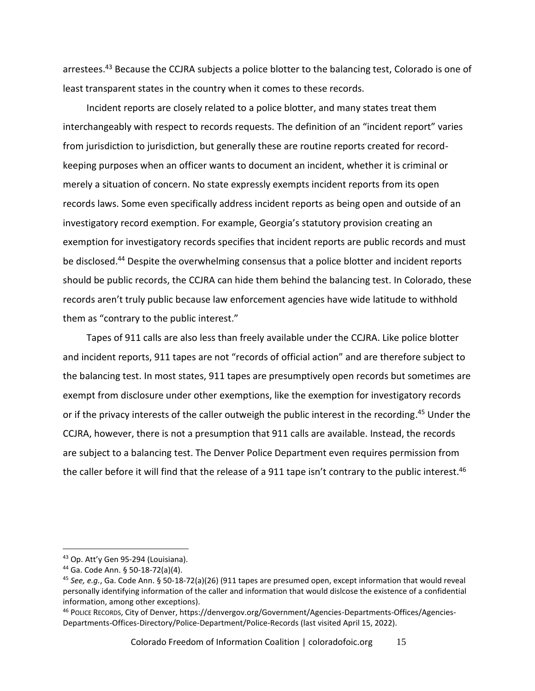arrestees.<sup>43</sup> Because the CCJRA subjects a police blotter to the balancing test, Colorado is one of least transparent states in the country when it comes to these records.

Incident reports are closely related to a police blotter, and many states treat them interchangeably with respect to records requests. The definition of an "incident report" varies from jurisdiction to jurisdiction, but generally these are routine reports created for recordkeeping purposes when an officer wants to document an incident, whether it is criminal or merely a situation of concern. No state expressly exempts incident reports from its open records laws. Some even specifically address incident reports as being open and outside of an investigatory record exemption. For example, Georgia's statutory provision creating an exemption for investigatory records specifies that incident reports are public records and must be disclosed.<sup>44</sup> Despite the overwhelming consensus that a police blotter and incident reports should be public records, the CCJRA can hide them behind the balancing test. In Colorado, these records aren't truly public because law enforcement agencies have wide latitude to withhold them as "contrary to the public interest."

Tapes of 911 calls are also less than freely available under the CCJRA. Like police blotter and incident reports, 911 tapes are not "records of official action" and are therefore subject to the balancing test. In most states, 911 tapes are presumptively open records but sometimes are exempt from disclosure under other exemptions, like the exemption for investigatory records or if the privacy interests of the caller outweigh the public interest in the recording.<sup>45</sup> Under the CCJRA, however, there is not a presumption that 911 calls are available. Instead, the records are subject to a balancing test. The Denver Police Department even requires permission from the caller before it will find that the release of a 911 tape isn't contrary to the public interest.<sup>46</sup>

<sup>43</sup> Op. Att'y Gen 95-294 (Louisiana).

<sup>44</sup> Ga. Code Ann. § 50-18-72(a)(4).

<sup>45</sup> *See, e.g.*, Ga. Code Ann. § 50-18-72(a)(26) (911 tapes are presumed open, except information that would reveal personally identifying information of the caller and information that would dislcose the existence of a confidential information, among other exceptions).

<sup>46</sup> POLICE RECORDS, City of Denver, https://denvergov.org/Government/Agencies-Departments-Offices/Agencies-Departments-Offices-Directory/Police-Department/Police-Records (last visited April 15, 2022).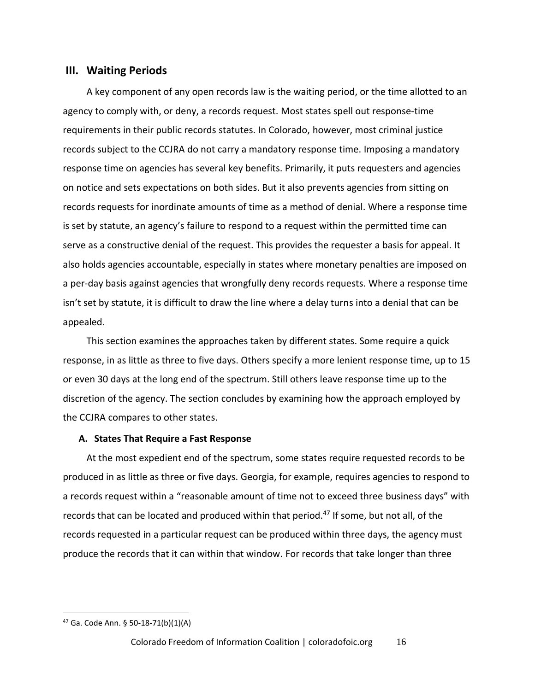#### <span id="page-15-0"></span>**III. Waiting Periods**

A key component of any open records law is the waiting period, or the time allotted to an agency to comply with, or deny, a records request. Most states spell out response-time requirements in their public records statutes. In Colorado, however, most criminal justice records subject to the CCJRA do not carry a mandatory response time. Imposing a mandatory response time on agencies has several key benefits. Primarily, it puts requesters and agencies on notice and sets expectations on both sides. But it also prevents agencies from sitting on records requests for inordinate amounts of time as a method of denial. Where a response time is set by statute, an agency's failure to respond to a request within the permitted time can serve as a constructive denial of the request. This provides the requester a basis for appeal. It also holds agencies accountable, especially in states where monetary penalties are imposed on a per-day basis against agencies that wrongfully deny records requests. Where a response time isn't set by statute, it is difficult to draw the line where a delay turns into a denial that can be appealed.

This section examines the approaches taken by different states. Some require a quick response, in as little as three to five days. Others specify a more lenient response time, up to 15 or even 30 days at the long end of the spectrum. Still others leave response time up to the discretion of the agency. The section concludes by examining how the approach employed by the CCJRA compares to other states.

#### <span id="page-15-1"></span>**A. States That Require a Fast Response**

At the most expedient end of the spectrum, some states require requested records to be produced in as little as three or five days. Georgia, for example, requires agencies to respond to a records request within a "reasonable amount of time not to exceed three business days" with records that can be located and produced within that period.<sup>47</sup> If some, but not all, of the records requested in a particular request can be produced within three days, the agency must produce the records that it can within that window. For records that take longer than three

<sup>47</sup> Ga. Code Ann. § 50-18-71(b)(1)(A)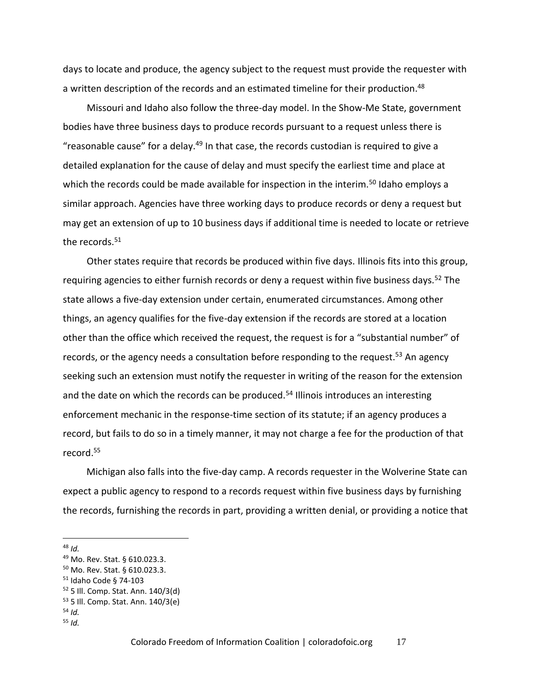days to locate and produce, the agency subject to the request must provide the requester with a written description of the records and an estimated timeline for their production.<sup>48</sup>

Missouri and Idaho also follow the three-day model. In the Show-Me State, government bodies have three business days to produce records pursuant to a request unless there is "reasonable cause" for a delay.<sup>49</sup> In that case, the records custodian is required to give a detailed explanation for the cause of delay and must specify the earliest time and place at which the records could be made available for inspection in the interim.<sup>50</sup> Idaho employs a similar approach. Agencies have three working days to produce records or deny a request but may get an extension of up to 10 business days if additional time is needed to locate or retrieve the records. $51$ 

Other states require that records be produced within five days. Illinois fits into this group, requiring agencies to either furnish records or deny a request within five business days.<sup>52</sup> The state allows a five-day extension under certain, enumerated circumstances. Among other things, an agency qualifies for the five-day extension if the records are stored at a location other than the office which received the request, the request is for a "substantial number" of records, or the agency needs a consultation before responding to the request.<sup>53</sup> An agency seeking such an extension must notify the requester in writing of the reason for the extension and the date on which the records can be produced.<sup>54</sup> Illinois introduces an interesting enforcement mechanic in the response-time section of its statute; if an agency produces a record, but fails to do so in a timely manner, it may not charge a fee for the production of that record.<sup>55</sup>

Michigan also falls into the five-day camp. A records requester in the Wolverine State can expect a public agency to respond to a records request within five business days by furnishing the records, furnishing the records in part, providing a written denial, or providing a notice that

<sup>48</sup> *Id.*

<sup>49</sup> Mo. Rev. Stat. § 610.023.3.

<sup>50</sup> Mo. Rev. Stat. § 610.023.3.

<sup>51</sup> Idaho Code § 74-103

<sup>52</sup> 5 Ill. Comp. Stat. Ann. 140/3(d) <sup>53</sup> 5 Ill. Comp. Stat. Ann. 140/3(e)

<sup>54</sup> *Id.*

<sup>55</sup> *Id.*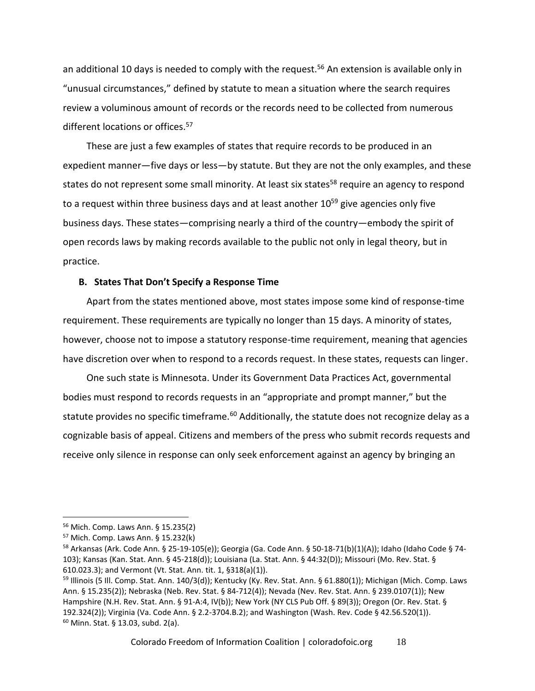an additional 10 days is needed to comply with the request.<sup>56</sup> An extension is available only in "unusual circumstances," defined by statute to mean a situation where the search requires review a voluminous amount of records or the records need to be collected from numerous different locations or offices.<sup>57</sup>

These are just a few examples of states that require records to be produced in an expedient manner—five days or less—by statute. But they are not the only examples, and these states do not represent some small minority. At least six states<sup>58</sup> require an agency to respond to a request within three business days and at least another  $10^{59}$  give agencies only five business days. These states—comprising nearly a third of the country—embody the spirit of open records laws by making records available to the public not only in legal theory, but in practice.

#### <span id="page-17-0"></span>**B. States That Don't Specify a Response Time**

Apart from the states mentioned above, most states impose some kind of response-time requirement. These requirements are typically no longer than 15 days. A minority of states, however, choose not to impose a statutory response-time requirement, meaning that agencies have discretion over when to respond to a records request. In these states, requests can linger.

One such state is Minnesota. Under its Government Data Practices Act, governmental bodies must respond to records requests in an "appropriate and prompt manner," but the statute provides no specific timeframe.<sup>60</sup> Additionally, the statute does not recognize delay as a cognizable basis of appeal. Citizens and members of the press who submit records requests and receive only silence in response can only seek enforcement against an agency by bringing an

<sup>56</sup> Mich. Comp. Laws Ann. § 15.235(2)

<sup>57</sup> Mich. Comp. Laws Ann. § 15.232(k)

<sup>58</sup> Arkansas (Ark. Code Ann. § 25-19-105(e)); Georgia (Ga. Code Ann. § 50-18-71(b)(1)(A)); Idaho (Idaho Code § 74- 103); Kansas (Kan. Stat. Ann. § 45-218(d)); Louisiana (La. Stat. Ann. § 44:32(D)); Missouri (Mo. Rev. Stat. § 610.023.3); and Vermont (Vt. Stat. Ann. tit. 1, §318(a)(1)).

<sup>59</sup> Illinois (5 Ill. Comp. Stat. Ann. 140/3(d)); Kentucky (Ky. Rev. Stat. Ann. § 61.880(1)); Michigan (Mich. Comp. Laws Ann. § 15.235(2)); Nebraska (Neb. Rev. Stat. § 84-712(4)); Nevada (Nev. Rev. Stat. Ann. § 239.0107(1)); New Hampshire (N.H. Rev. Stat. Ann. § 91-A:4, IV(b)); New York (NY CLS Pub Off. § 89(3)); Oregon (Or. Rev. Stat. § 192.324(2)); Virginia (Va. Code Ann. § 2.2-3704.B.2); and Washington (Wash. Rev. Code § 42.56.520(1)). <sup>60</sup> Minn. Stat. § 13.03, subd. 2(a).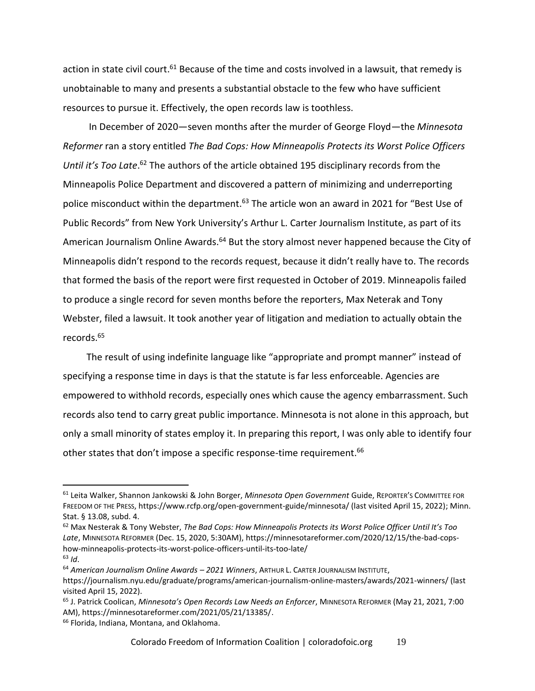action in state civil court.<sup>61</sup> Because of the time and costs involved in a lawsuit, that remedy is unobtainable to many and presents a substantial obstacle to the few who have sufficient resources to pursue it. Effectively, the open records law is toothless.

In December of 2020—seven months after the murder of George Floyd—the *Minnesota Reformer* ran a story entitled *The Bad Cops: How Minneapolis Protects its Worst Police Officers*  Until it's Too Late.<sup>62</sup> The authors of the article obtained 195 disciplinary records from the Minneapolis Police Department and discovered a pattern of minimizing and underreporting police misconduct within the department.<sup>63</sup> The article won an award in 2021 for "Best Use of Public Records" from New York University's Arthur L. Carter Journalism Institute, as part of its American Journalism Online Awards.<sup>64</sup> But the story almost never happened because the City of Minneapolis didn't respond to the records request, because it didn't really have to. The records that formed the basis of the report were first requested in October of 2019. Minneapolis failed to produce a single record for seven months before the reporters, Max Neterak and Tony Webster, filed a lawsuit. It took another year of litigation and mediation to actually obtain the records.<sup>65</sup>

The result of using indefinite language like "appropriate and prompt manner" instead of specifying a response time in days is that the statute is far less enforceable. Agencies are empowered to withhold records, especially ones which cause the agency embarrassment. Such records also tend to carry great public importance. Minnesota is not alone in this approach, but only a small minority of states employ it. In preparing this report, I was only able to identify four other states that don't impose a specific response-time requirement.<sup>66</sup>

<sup>61</sup> Leita Walker, Shannon Jankowski & John Borger, *Minnesota Open Government* Guide, REPORTER'S COMMITTEE FOR FREEDOM OF THE PRESS, https://www.rcfp.org/open-government-guide/minnesota/ (last visited April 15, 2022); Minn. Stat. § 13.08, subd. 4.

<sup>62</sup> Max Nesterak & Tony Webster, *The Bad Cops: How Minneapolis Protects its Worst Police Officer Until It's Too Late*, MINNESOTA REFORMER (Dec. 15, 2020, 5:30AM), https://minnesotareformer.com/2020/12/15/the-bad-copshow-minneapolis-protects-its-worst-police-officers-until-its-too-late/

<sup>63</sup> *Id*.

<sup>64</sup> *American Journalism Online Awards – 2021 Winners*, ARTHUR L. CARTER JOURNALISM INSTITUTE, https://journalism.nyu.edu/graduate/programs/american-journalism-online-masters/awards/2021-winners/ (last visited April 15, 2022).

<sup>65</sup> J. Patrick Coolican, *Minnesota's Open Records Law Needs an Enforcer*, MINNESOTA REFORMER (May 21, 2021, 7:00 AM), https://minnesotareformer.com/2021/05/21/13385/.

<sup>66</sup> Florida, Indiana, Montana, and Oklahoma.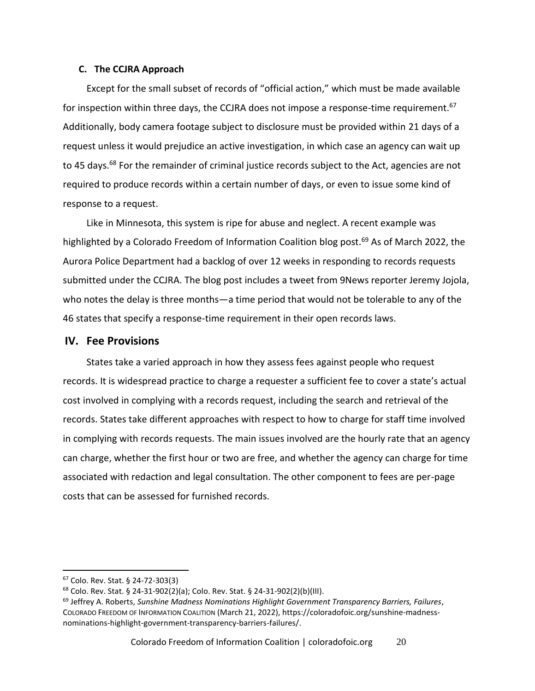#### <span id="page-19-0"></span>**C. The CCJRA Approach**

Except for the small subset of records of "official action," which must be made available for inspection within three days, the CCJRA does not impose a response-time requirement.<sup>67</sup> Additionally, body camera footage subject to disclosure must be provided within 21 days of a request unless it would prejudice an active investigation, in which case an agency can wait up to 45 days.<sup>68</sup> For the remainder of criminal justice records subject to the Act, agencies are not required to produce records within a certain number of days, or even to issue some kind of response to a request.

Like in Minnesota, this system is ripe for abuse and neglect. A recent example was highlighted by a Colorado Freedom of Information Coalition blog post.<sup>69</sup> As of March 2022, the Aurora Police Department had a backlog of over 12 weeks in responding to records requests submitted under the CCJRA. The blog post includes a tweet from 9News reporter Jeremy Jojola, who notes the delay is three months—a time period that would not be tolerable to any of the 46 states that specify a response-time requirement in their open records laws.

#### <span id="page-19-1"></span>**IV. Fee Provisions**

States take a varied approach in how they assess fees against people who request records. It is widespread practice to charge a requester a sufficient fee to cover a state's actual cost involved in complying with a records request, including the search and retrieval of the records. States take different approaches with respect to how to charge for staff time involved in complying with records requests. The main issues involved are the hourly rate that an agency can charge, whether the first hour or two are free, and whether the agency can charge for time associated with redaction and legal consultation. The other component to fees are per-page costs that can be assessed for furnished records.

<sup>67</sup> Colo. Rev. Stat. § 24-72-303(3)

<sup>68</sup> Colo. Rev. Stat. § 24-31-902(2)(a); Colo. Rev. Stat. § 24-31-902(2)(b)(III).

<sup>69</sup> Jeffrey A. Roberts, *Sunshine Madness Nominations Highlight Government Transparency Barriers, Failures*, COLORADO FREEDOM OF INFORMATION COALITION (March 21, 2022), https://coloradofoic.org/sunshine-madnessnominations-highlight-government-transparency-barriers-failures/.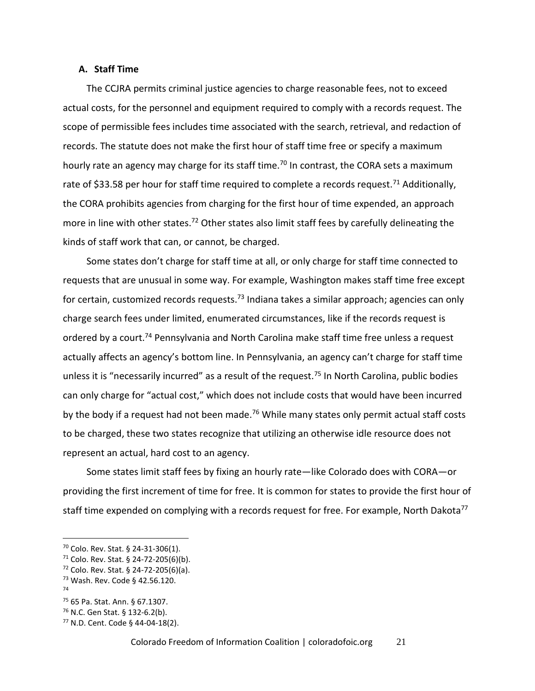#### <span id="page-20-0"></span>**A. Staff Time**

The CCJRA permits criminal justice agencies to charge reasonable fees, not to exceed actual costs, for the personnel and equipment required to comply with a records request. The scope of permissible fees includes time associated with the search, retrieval, and redaction of records. The statute does not make the first hour of staff time free or specify a maximum hourly rate an agency may charge for its staff time.<sup>70</sup> In contrast, the CORA sets a maximum rate of \$33.58 per hour for staff time required to complete a records request.<sup>71</sup> Additionally, the CORA prohibits agencies from charging for the first hour of time expended, an approach more in line with other states.<sup>72</sup> Other states also limit staff fees by carefully delineating the kinds of staff work that can, or cannot, be charged.

Some states don't charge for staff time at all, or only charge for staff time connected to requests that are unusual in some way. For example, Washington makes staff time free except for certain, customized records requests.<sup>73</sup> Indiana takes a similar approach; agencies can only charge search fees under limited, enumerated circumstances, like if the records request is ordered by a court.<sup>74</sup> Pennsylvania and North Carolina make staff time free unless a request actually affects an agency's bottom line. In Pennsylvania, an agency can't charge for staff time unless it is "necessarily incurred" as a result of the request.<sup>75</sup> In North Carolina, public bodies can only charge for "actual cost," which does not include costs that would have been incurred by the body if a request had not been made.<sup>76</sup> While many states only permit actual staff costs to be charged, these two states recognize that utilizing an otherwise idle resource does not represent an actual, hard cost to an agency.

Some states limit staff fees by fixing an hourly rate—like Colorado does with CORA—or providing the first increment of time for free. It is common for states to provide the first hour of staff time expended on complying with a records request for free. For example, North Dakota<sup>77</sup>

<sup>70</sup> Colo. Rev. Stat. § 24-31-306(1).

 $71$  Colo. Rev. Stat. § 24-72-205(6)(b).

 $72$  Colo. Rev. Stat. § 24-72-205(6)(a).

<sup>73</sup> Wash. Rev. Code § 42.56.120.

<sup>74</sup>

<sup>75</sup> 65 Pa. Stat. Ann. § 67.1307.

<sup>76</sup> N.C. Gen Stat. § 132-6.2(b).

<sup>77</sup> N.D. Cent. Code § 44-04-18(2).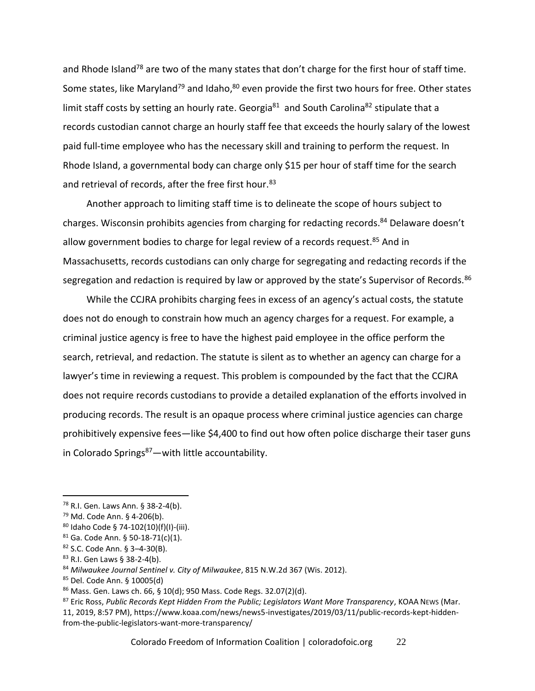and Rhode Island<sup>78</sup> are two of the many states that don't charge for the first hour of staff time. Some states, like Maryland<sup>79</sup> and Idaho,<sup>80</sup> even provide the first two hours for free. Other states limit staff costs by setting an hourly rate. Georgia $^{81}$  and South Carolina<sup>82</sup> stipulate that a records custodian cannot charge an hourly staff fee that exceeds the hourly salary of the lowest paid full-time employee who has the necessary skill and training to perform the request. In Rhode Island, a governmental body can charge only \$15 per hour of staff time for the search and retrieval of records, after the free first hour.<sup>83</sup>

Another approach to limiting staff time is to delineate the scope of hours subject to charges. Wisconsin prohibits agencies from charging for redacting records.<sup>84</sup> Delaware doesn't allow government bodies to charge for legal review of a records request.<sup>85</sup> And in Massachusetts, records custodians can only charge for segregating and redacting records if the segregation and redaction is required by law or approved by the state's Supervisor of Records.<sup>86</sup>

While the CCJRA prohibits charging fees in excess of an agency's actual costs, the statute does not do enough to constrain how much an agency charges for a request. For example, a criminal justice agency is free to have the highest paid employee in the office perform the search, retrieval, and redaction. The statute is silent as to whether an agency can charge for a lawyer's time in reviewing a request. This problem is compounded by the fact that the CCJRA does not require records custodians to provide a detailed explanation of the efforts involved in producing records. The result is an opaque process where criminal justice agencies can charge prohibitively expensive fees—like \$4,400 to find out how often police discharge their taser guns in Colorado Springs $87$  — with little accountability.

Colorado Freedom of Information Coalition | coloradofoic.org 22

<sup>78</sup> R.I. Gen. Laws Ann. § 38-2-4(b).

<sup>79</sup> Md. Code Ann. § 4-206(b).

<sup>80</sup> Idaho Code § 74-102(10)(f)(I)-(iii).

 $81$  Ga. Code Ann. § 50-18-71(c)(1).

<sup>82</sup> S.C. Code Ann. § 3–4-30(B).

<sup>83</sup> R.I. Gen Laws § 38-2-4(b).

<sup>84</sup> *Milwaukee Journal Sentinel v. City of Milwaukee*, 815 N.W.2d 367 (Wis. 2012).

<sup>85</sup> Del. Code Ann. § 10005(d)

 $86$  Mass. Gen. Laws ch. 66, § 10(d); 950 Mass. Code Regs. 32.07(2)(d).

<sup>87</sup> Eric Ross, *Public Records Kept Hidden From the Public; Legislators Want More Transparency*, KOAA NEWS (Mar. 11, 2019, 8:57 PM), https://www.koaa.com/news/news5-investigates/2019/03/11/public-records-kept-hiddenfrom-the-public-legislators-want-more-transparency/